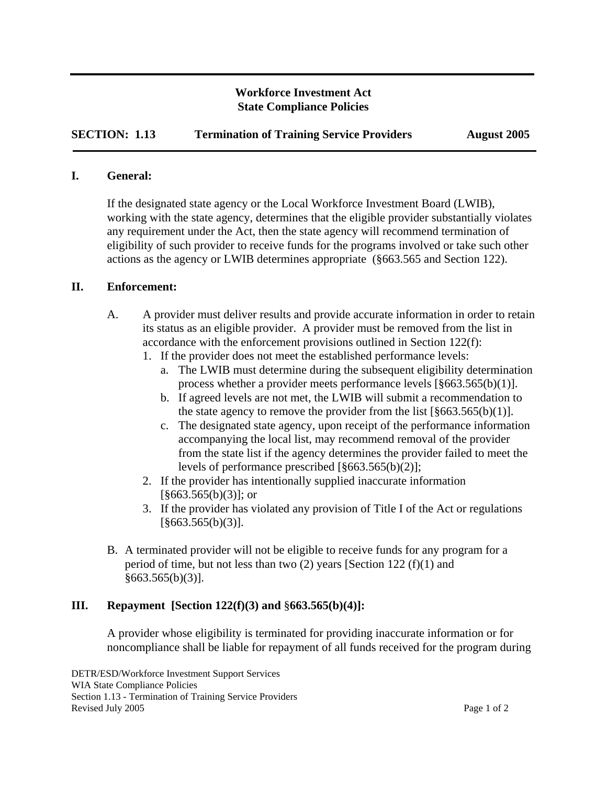## **Workforce Investment Act State Compliance Policies**

**SECTION: 1.13** Termination of Training Service Providers August 2005

#### **I. General:**

I

If the designated state agency or the Local Workforce Investment Board (LWIB), working with the state agency, determines that the eligible provider substantially violates any requirement under the Act, then the state agency will recommend termination of eligibility of such provider to receive funds for the programs involved or take such other actions as the agency or LWIB determines appropriate (§663.565 and Section 122).

### **II. Enforcement:**

- A. A provider must deliver results and provide accurate information in order to retain its status as an eligible provider. A provider must be removed from the list in accordance with the enforcement provisions outlined in Section 122(f):
	- 1. If the provider does not meet the established performance levels:
		- a. The LWIB must determine during the subsequent eligibility determination process whether a provider meets performance levels [§663.565(b)(1)].
		- b. If agreed levels are not met, the LWIB will submit a recommendation to the state agency to remove the provider from the list  $[\S 663.565(b)(1)].$
		- c. The designated state agency, upon receipt of the performance information accompanying the local list, may recommend removal of the provider from the state list if the agency determines the provider failed to meet the levels of performance prescribed [§663.565(b)(2)];
	- 2. If the provider has intentionally supplied inaccurate information  $\lceil$ §663.565(b)(3)]; or
	- 3. If the provider has violated any provision of Title I of the Act or regulations  $[\S 663.565(b)(3)].$
- B. A terminated provider will not be eligible to receive funds for any program for a period of time, but not less than two (2) years [Section 122 (f)(1) and  $§663.565(b)(3)].$

## **III. Repayment [Section 122(f)(3) and** §**663.565(b)(4)]:**

A provider whose eligibility is terminated for providing inaccurate information or for noncompliance shall be liable for repayment of all funds received for the program during